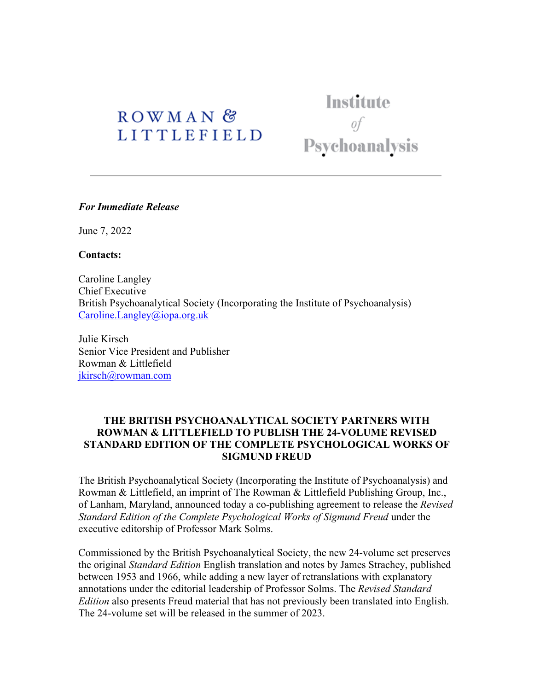# ROWMAN<sup>&</sup> **LITTLEFIELD**

Institute of Psychoanalysis

#### *For Immediate Release*

June 7, 2022

**Contacts:**

Caroline Langley Chief Executive British Psychoanalytical Society (Incorporating the Institute of Psychoanalysis) [Caroline.Langley@iopa.org.uk](mailto:Caroline.Langley@iopa.org.uk)

Julie Kirsch Senior Vice President and Publisher Rowman & Littlefield [jkirsch@rowman.com](mailto:jkirsch@rowman.com) 

## **THE BRITISH PSYCHOANALYTICAL SOCIETY PARTNERS WITH ROWMAN & LITTLEFIELD TO PUBLISH THE 24-VOLUME REVISED STANDARD EDITION OF THE COMPLETE PSYCHOLOGICAL WORKS OF SIGMUND FREUD**

The British Psychoanalytical Society (Incorporating the Institute of Psychoanalysis) and Rowman & Littlefield, an imprint of The Rowman & Littlefield Publishing Group, Inc., of Lanham, Maryland, announced today a co-publishing agreement to release the *Revised Standard Edition of the Complete Psychological Works of Sigmund Freud* under the executive editorship of Professor Mark Solms.

Commissioned by the British Psychoanalytical Society, the new 24-volume set preserves the original *Standard Edition* English translation and notes by James Strachey, published between 1953 and 1966, while adding a new layer of retranslations with explanatory annotations under the editorial leadership of Professor Solms. The *Revised Standard Edition* also presents Freud material that has not previously been translated into English. The 24-volume set will be released in the summer of 2023.